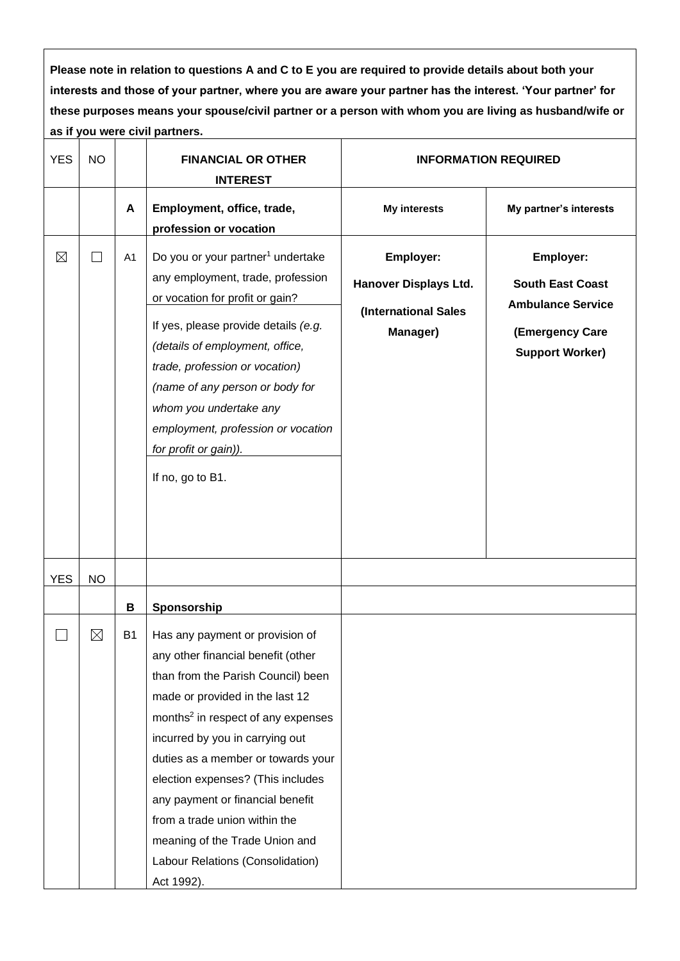**Please note in relation to questions A and C to E you are required to provide details about both your interests and those of your partner, where you are aware your partner has the interest. 'Your partner' for these purposes means your spouse/civil partner or a person with whom you are living as husband/wife or as if you were civil partners.**

<span id="page-0-0"></span>

| <b>YES</b>  | <b>NO</b>     |                | <b>FINANCIAL OR OTHER</b><br><b>INTEREST</b>                                                                                                                                                                                                                                                                                                                                                                                                                            |                                                                               | <b>INFORMATION REQUIRED</b>                                                                                   |  |
|-------------|---------------|----------------|-------------------------------------------------------------------------------------------------------------------------------------------------------------------------------------------------------------------------------------------------------------------------------------------------------------------------------------------------------------------------------------------------------------------------------------------------------------------------|-------------------------------------------------------------------------------|---------------------------------------------------------------------------------------------------------------|--|
|             |               | A              | Employment, office, trade,<br>profession or vocation                                                                                                                                                                                                                                                                                                                                                                                                                    | <b>My interests</b>                                                           | My partner's interests                                                                                        |  |
| $\boxtimes$ | $\mathcal{L}$ | A <sub>1</sub> | Do you or your partner <sup>1</sup> undertake<br>any employment, trade, profession<br>or vocation for profit or gain?<br>If yes, please provide details (e.g.<br>(details of employment, office,<br>trade, profession or vocation)<br>(name of any person or body for<br>whom you undertake any<br>employment, profession or vocation<br>for profit or gain)).<br>If no, go to B1.                                                                                      | Employer:<br><b>Hanover Displays Ltd.</b><br>(International Sales<br>Manager) | Employer:<br><b>South East Coast</b><br><b>Ambulance Service</b><br>(Emergency Care<br><b>Support Worker)</b> |  |
| <b>YES</b>  | <b>NO</b>     |                |                                                                                                                                                                                                                                                                                                                                                                                                                                                                         |                                                                               |                                                                                                               |  |
|             |               | B              | Sponsorship                                                                                                                                                                                                                                                                                                                                                                                                                                                             |                                                                               |                                                                                                               |  |
|             | $\boxtimes$   | <b>B1</b>      | Has any payment or provision of<br>any other financial benefit (other<br>than from the Parish Council) been<br>made or provided in the last 12<br>months <sup>2</sup> in respect of any expenses<br>incurred by you in carrying out<br>duties as a member or towards your<br>election expenses? (This includes<br>any payment or financial benefit<br>from a trade union within the<br>meaning of the Trade Union and<br>Labour Relations (Consolidation)<br>Act 1992). |                                                                               |                                                                                                               |  |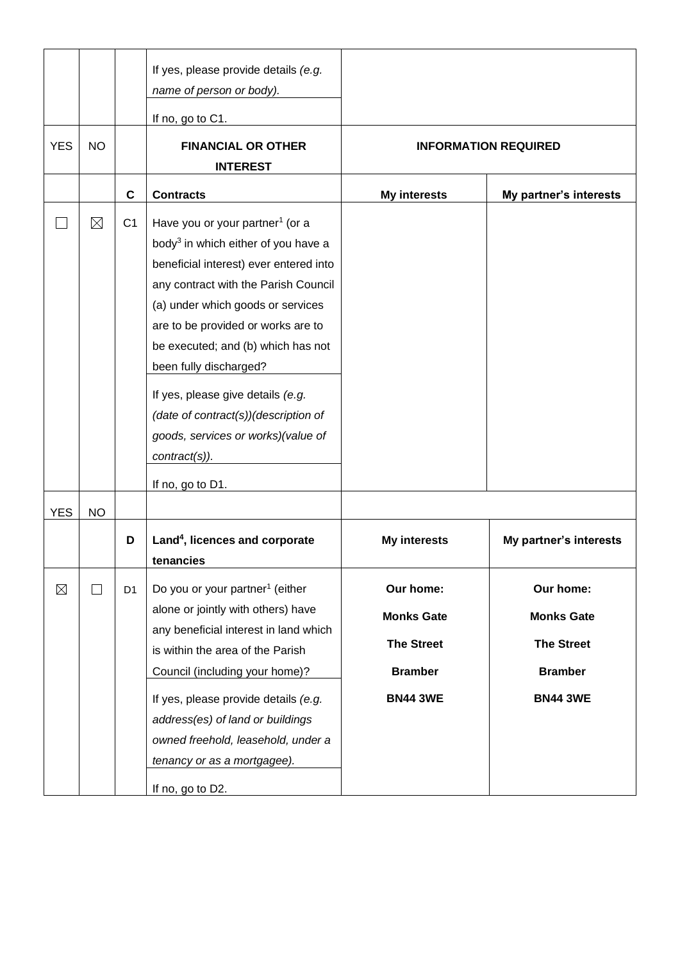<span id="page-1-0"></span>

| <b>YES</b> |              |                | If yes, please provide details (e.g.<br>name of person or body).<br>If no, go to C1.                                                                                                                                                                                                                                                                                                                                                                                                |                                                                                          |                                                                                          |
|------------|--------------|----------------|-------------------------------------------------------------------------------------------------------------------------------------------------------------------------------------------------------------------------------------------------------------------------------------------------------------------------------------------------------------------------------------------------------------------------------------------------------------------------------------|------------------------------------------------------------------------------------------|------------------------------------------------------------------------------------------|
|            | <b>NO</b>    |                | <b>FINANCIAL OR OTHER</b><br><b>INTEREST</b>                                                                                                                                                                                                                                                                                                                                                                                                                                        |                                                                                          | <b>INFORMATION REQUIRED</b>                                                              |
|            |              | $\mathbf c$    | <b>Contracts</b>                                                                                                                                                                                                                                                                                                                                                                                                                                                                    | <b>My interests</b>                                                                      | My partner's interests                                                                   |
|            | $\boxtimes$  | C <sub>1</sub> | Have you or your partner <sup>1</sup> (or a<br>body <sup>3</sup> in which either of you have a<br>beneficial interest) ever entered into<br>any contract with the Parish Council<br>(a) under which goods or services<br>are to be provided or works are to<br>be executed; and (b) which has not<br>been fully discharged?<br>If yes, please give details (e.g.<br>(date of contract(s))(description of<br>goods, services or works)(value of<br>contract(s)).<br>If no, go to D1. |                                                                                          |                                                                                          |
| <b>YES</b> | <b>NO</b>    |                |                                                                                                                                                                                                                                                                                                                                                                                                                                                                                     |                                                                                          |                                                                                          |
|            |              | D              | Land <sup>4</sup> , licences and corporate<br>tenancies                                                                                                                                                                                                                                                                                                                                                                                                                             | <b>My interests</b>                                                                      | My partner's interests                                                                   |
| $\times$   | $\mathbf{I}$ | D <sub>1</sub> | Do you or your partner <sup>1</sup> (either<br>alone or jointly with others) have<br>any beneficial interest in land which<br>is within the area of the Parish<br>Council (including your home)?<br>If yes, please provide details (e.g.<br>address(es) of land or buildings<br>owned freehold, leasehold, under a<br>tenancy or as a mortgagee).<br>If no, go to D2.                                                                                                               | Our home:<br><b>Monks Gate</b><br><b>The Street</b><br><b>Bramber</b><br><b>BN44 3WE</b> | Our home:<br><b>Monks Gate</b><br><b>The Street</b><br><b>Bramber</b><br><b>BN44 3WE</b> |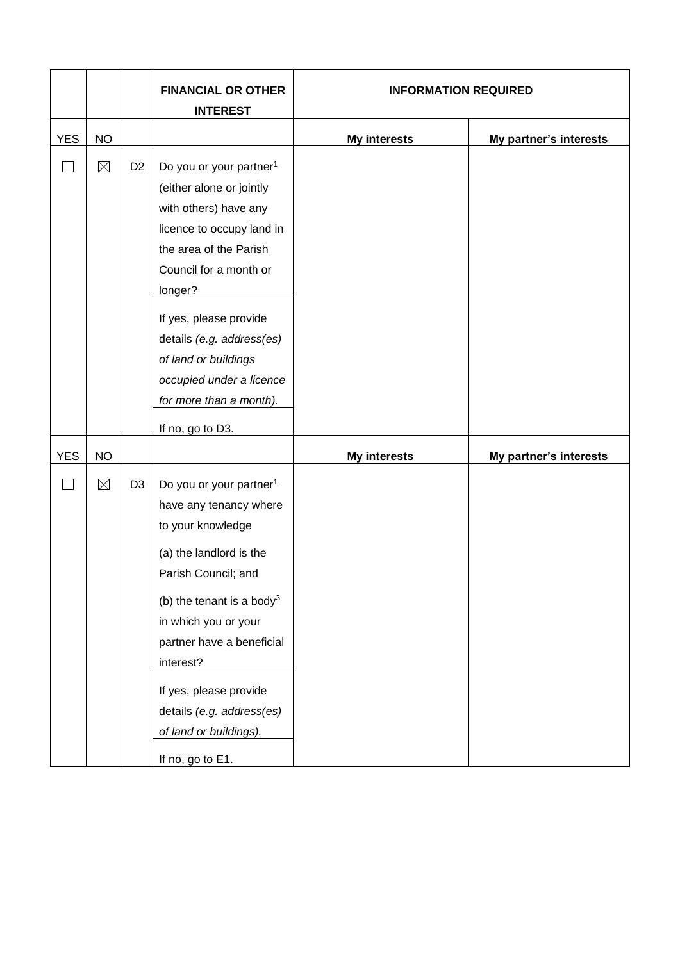|                |             |                | <b>FINANCIAL OR OTHER</b><br><b>INTEREST</b>                                                                                                                                                                                                                                                                                                         | <b>INFORMATION REQUIRED</b> |                        |  |
|----------------|-------------|----------------|------------------------------------------------------------------------------------------------------------------------------------------------------------------------------------------------------------------------------------------------------------------------------------------------------------------------------------------------------|-----------------------------|------------------------|--|
| <b>YES</b>     | <b>NO</b>   |                |                                                                                                                                                                                                                                                                                                                                                      | <b>My interests</b>         | My partner's interests |  |
| $\blacksquare$ | $\boxtimes$ | D <sub>2</sub> | Do you or your partner <sup>1</sup><br>(either alone or jointly<br>with others) have any<br>licence to occupy land in<br>the area of the Parish<br>Council for a month or<br>longer?<br>If yes, please provide<br>details (e.g. address(es)<br>of land or buildings<br>occupied under a licence<br>for more than a month).<br>If no, go to D3.       |                             |                        |  |
| <b>YES</b>     | <b>NO</b>   |                |                                                                                                                                                                                                                                                                                                                                                      | <b>My interests</b>         | My partner's interests |  |
|                | $\boxtimes$ | D <sub>3</sub> | Do you or your partner <sup>1</sup><br>have any tenancy where<br>to your knowledge<br>(a) the landlord is the<br>Parish Council; and<br>(b) the tenant is a body <sup>3</sup><br>in which you or your<br>partner have a beneficial<br>interest?<br>If yes, please provide<br>details (e.g. address(es)<br>of land or buildings).<br>If no, go to E1. |                             |                        |  |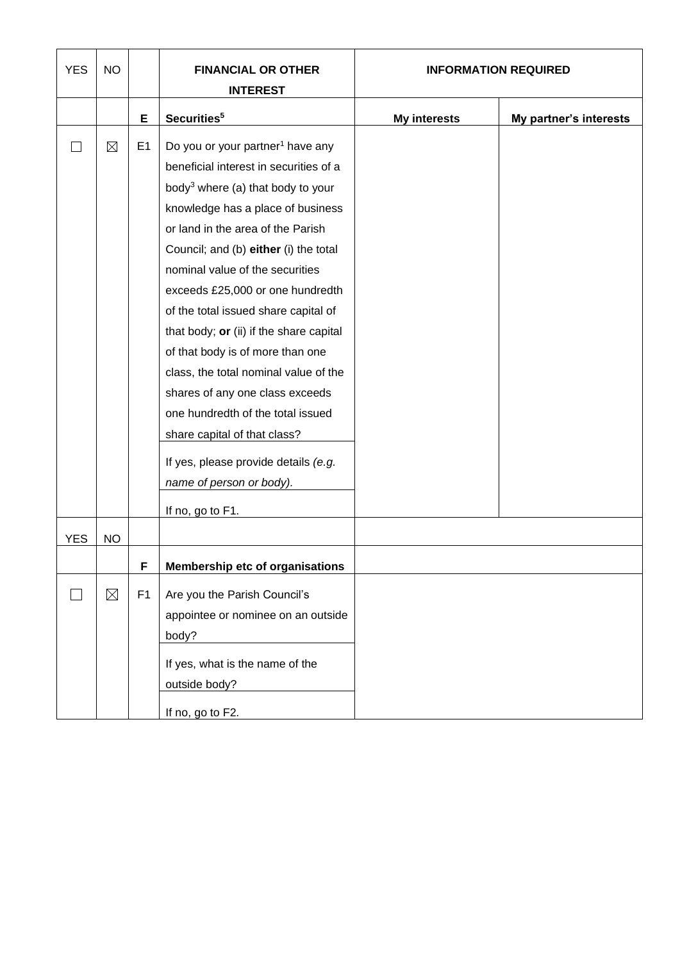| <b>YES</b> | <b>NO</b>   |                | <b>FINANCIAL OR OTHER</b><br><b>INTEREST</b>  |                     | <b>INFORMATION REQUIRED</b> |  |
|------------|-------------|----------------|-----------------------------------------------|---------------------|-----------------------------|--|
|            |             |                |                                               |                     |                             |  |
|            |             | Е              | Securities <sup>5</sup>                       | <b>My interests</b> | My partner's interests      |  |
|            | $\boxtimes$ | E1             | Do you or your partner <sup>1</sup> have any  |                     |                             |  |
|            |             |                | beneficial interest in securities of a        |                     |                             |  |
|            |             |                | body <sup>3</sup> where (a) that body to your |                     |                             |  |
|            |             |                | knowledge has a place of business             |                     |                             |  |
|            |             |                | or land in the area of the Parish             |                     |                             |  |
|            |             |                | Council; and (b) either (i) the total         |                     |                             |  |
|            |             |                | nominal value of the securities               |                     |                             |  |
|            |             |                | exceeds £25,000 or one hundredth              |                     |                             |  |
|            |             |                | of the total issued share capital of          |                     |                             |  |
|            |             |                | that body; or (ii) if the share capital       |                     |                             |  |
|            |             |                | of that body is of more than one              |                     |                             |  |
|            |             |                | class, the total nominal value of the         |                     |                             |  |
|            |             |                | shares of any one class exceeds               |                     |                             |  |
|            |             |                | one hundredth of the total issued             |                     |                             |  |
|            |             |                | share capital of that class?                  |                     |                             |  |
|            |             |                | If yes, please provide details (e.g.          |                     |                             |  |
|            |             |                | name of person or body).                      |                     |                             |  |
|            |             |                |                                               |                     |                             |  |
|            |             |                | If no, go to F1.                              |                     |                             |  |
| <b>YES</b> | <b>NO</b>   |                |                                               |                     |                             |  |
|            |             | H              | <b>Membership etc of organisations</b>        |                     |                             |  |
|            | $\boxtimes$ | F <sub>1</sub> | Are you the Parish Council's                  |                     |                             |  |
|            |             |                | appointee or nominee on an outside            |                     |                             |  |
|            |             |                | body?                                         |                     |                             |  |
|            |             |                |                                               |                     |                             |  |
|            |             |                | If yes, what is the name of the               |                     |                             |  |
|            |             |                | outside body?                                 |                     |                             |  |
|            |             |                | If no, go to F2.                              |                     |                             |  |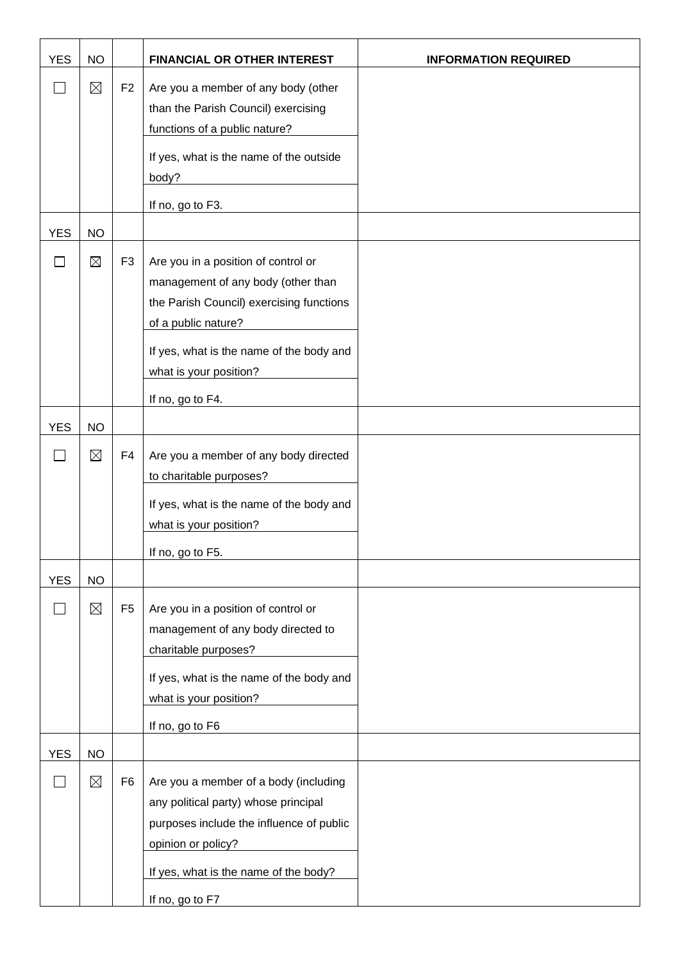| <b>YES</b> | <b>NO</b>   |                | FINANCIAL OR OTHER INTEREST                                                                                                                                                                                                            | <b>INFORMATION REQUIRED</b> |
|------------|-------------|----------------|----------------------------------------------------------------------------------------------------------------------------------------------------------------------------------------------------------------------------------------|-----------------------------|
|            | $\boxtimes$ | F <sub>2</sub> | Are you a member of any body (other<br>than the Parish Council) exercising<br>functions of a public nature?<br>If yes, what is the name of the outside<br>body?                                                                        |                             |
|            |             |                | If no, go to F3.                                                                                                                                                                                                                       |                             |
| <b>YES</b> | <b>NO</b>   |                |                                                                                                                                                                                                                                        |                             |
| $\sim$ 1   | $\boxtimes$ | F <sub>3</sub> | Are you in a position of control or<br>management of any body (other than<br>the Parish Council) exercising functions<br>of a public nature?<br>If yes, what is the name of the body and<br>what is your position?<br>If no, go to F4. |                             |
| <b>YES</b> | <b>NO</b>   |                |                                                                                                                                                                                                                                        |                             |
| $\Box$     | $\boxtimes$ | F4             | Are you a member of any body directed<br>to charitable purposes?<br>If yes, what is the name of the body and<br>what is your position?<br>If no, go to F5.                                                                             |                             |
| <b>YES</b> | <b>NO</b>   |                |                                                                                                                                                                                                                                        |                             |
|            | $\boxtimes$ | F <sub>5</sub> | Are you in a position of control or<br>management of any body directed to<br>charitable purposes?<br>If yes, what is the name of the body and<br>what is your position?<br>If no, go to F6                                             |                             |
| <b>YES</b> | <b>NO</b>   |                |                                                                                                                                                                                                                                        |                             |
| $\sim$     | $\boxtimes$ | F <sub>6</sub> | Are you a member of a body (including<br>any political party) whose principal<br>purposes include the influence of public<br>opinion or policy?<br>If yes, what is the name of the body?<br>If no, go to F7                            |                             |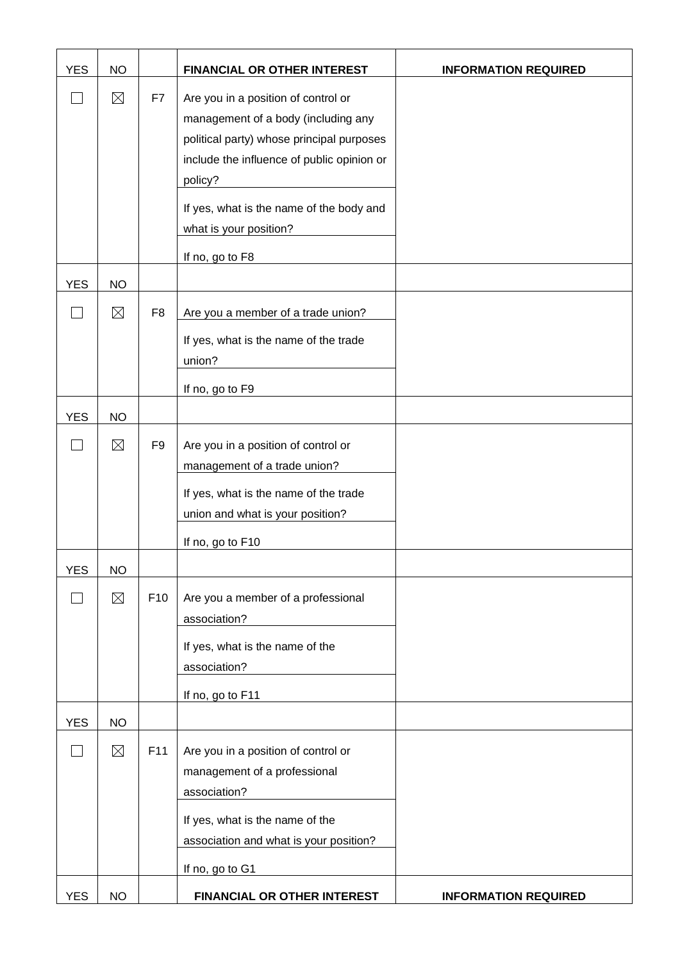| <b>YES</b>        | <b>NO</b>   |                 | FINANCIAL OR OTHER INTEREST                                                                                                                                                                                                                                               | <b>INFORMATION REQUIRED</b> |
|-------------------|-------------|-----------------|---------------------------------------------------------------------------------------------------------------------------------------------------------------------------------------------------------------------------------------------------------------------------|-----------------------------|
|                   | $\boxtimes$ | F7              | Are you in a position of control or<br>management of a body (including any<br>political party) whose principal purposes<br>include the influence of public opinion or<br>policy?<br>If yes, what is the name of the body and<br>what is your position?<br>If no, go to F8 |                             |
| <b>YES</b>        | <b>NO</b>   |                 |                                                                                                                                                                                                                                                                           |                             |
|                   | $\boxtimes$ | F <sub>8</sub>  | Are you a member of a trade union?<br>If yes, what is the name of the trade<br>union?<br>If no, go to F9                                                                                                                                                                  |                             |
| <b>YES</b>        | <b>NO</b>   |                 |                                                                                                                                                                                                                                                                           |                             |
| $\vert \ \ \vert$ | $\boxtimes$ | F <sub>9</sub>  | Are you in a position of control or<br>management of a trade union?<br>If yes, what is the name of the trade<br>union and what is your position?<br>If no, go to F10                                                                                                      |                             |
| <b>YES</b>        | <b>NO</b>   |                 |                                                                                                                                                                                                                                                                           |                             |
|                   | $\boxtimes$ | F <sub>10</sub> | Are you a member of a professional<br>association?<br>If yes, what is the name of the<br>association?<br>If no, go to F11                                                                                                                                                 |                             |
| <b>YES</b>        | <b>NO</b>   |                 |                                                                                                                                                                                                                                                                           |                             |
|                   | $\boxtimes$ | F11             | Are you in a position of control or<br>management of a professional<br>association?<br>If yes, what is the name of the<br>association and what is your position?<br>If no, go to G1                                                                                       |                             |
| <b>YES</b>        | <b>NO</b>   |                 | FINANCIAL OR OTHER INTEREST                                                                                                                                                                                                                                               | <b>INFORMATION REQUIRED</b> |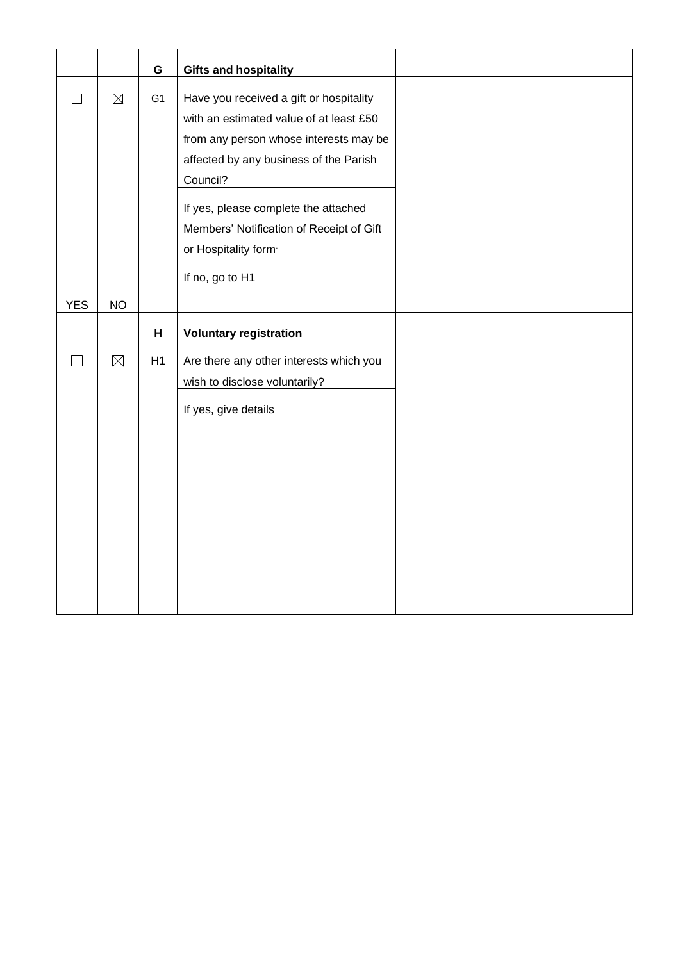|            |             | ${\mathsf G}$  | <b>Gifts and hospitality</b>             |
|------------|-------------|----------------|------------------------------------------|
|            | $\boxtimes$ | G <sub>1</sub> | Have you received a gift or hospitality  |
|            |             |                | with an estimated value of at least £50  |
|            |             |                | from any person whose interests may be   |
|            |             |                | affected by any business of the Parish   |
|            |             |                | Council?                                 |
|            |             |                | If yes, please complete the attached     |
|            |             |                | Members' Notification of Receipt of Gift |
|            |             |                | or Hospitality form                      |
|            |             |                | If no, go to H1                          |
| <b>YES</b> | <b>NO</b>   |                |                                          |
|            |             | H              | <b>Voluntary registration</b>            |
|            |             |                |                                          |
|            | $\boxtimes$ | H1             | Are there any other interests which you  |
|            |             |                | wish to disclose voluntarily?            |
|            |             |                | If yes, give details                     |
|            |             |                |                                          |
|            |             |                |                                          |
|            |             |                |                                          |
|            |             |                |                                          |
|            |             |                |                                          |
|            |             |                |                                          |
|            |             |                |                                          |
|            |             |                |                                          |
|            |             |                |                                          |